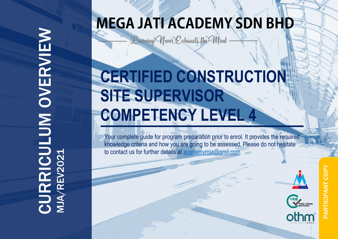## **MEGA JATI ACADEMY SDN BHD**

Learning Never Exhansts the Mind

# **CERTIFIED CONSTRUCTION SITE SUPERVISOR COMPETENCY LEVEL 4**

Your complete guide for program preparation prior to enrol. It provides the required knowledge criteria and how you are going to be assessed. Please do not hesitate to contact us for further details at [academymja@gmil.com](mailto:academymja@gmil.com)

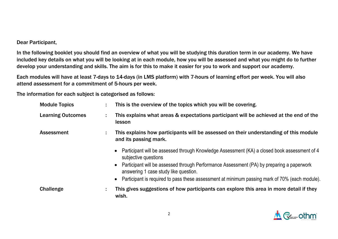#### Dear Participant,

In the following booklet you should find an overview of what you will be studying this duration term in our academy. We have included key details on what you will be looking at in each module, how you will be assessed and what you might do to further develop your understanding and skills. The aim is for this to make it easier for you to work and support our academy.

Each modules will have at least 7-days to 14-days (in LMS platform) with 7-hours of learning effort per week. You will also attend assessment for a commitment of 5-hours per week.

The information for each subject is categorised as follows:

| <b>Module Topics</b>     | This is the overview of the topics which you will be covering.<br>÷.                                                                 |
|--------------------------|--------------------------------------------------------------------------------------------------------------------------------------|
| <b>Learning Outcomes</b> | This explains what areas & expectations participant will be achieved at the end of the<br>÷<br>lesson                                |
| Assessment               | This explains how participants will be assessed on their understanding of this module<br>÷<br>and its passing mark.                  |
|                          | • Participant will be assessed through Knowledge Assessment (KA) a closed book assessment of 4<br>subjective questions               |
|                          | • Participant will be assessed through Performance Assessment (PA) by preparing a paperwork<br>answering 1 case study like question. |
|                          | • Participant is required to pass these assessment at minimum passing mark of 70% (each module).                                     |
| <b>Challenge</b>         | This gives suggestions of how participants can explore this area in more detail if they<br>÷<br>wish.                                |

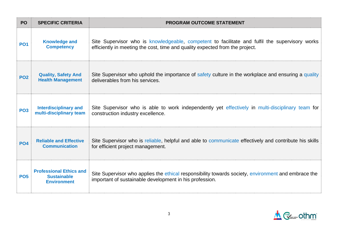| <b>PO</b>       | <b>SPECIFIC CRITERIA</b>                                                   | <b>PROGRAM OUTCOME STATEMENT</b>                                                                                                                                               |
|-----------------|----------------------------------------------------------------------------|--------------------------------------------------------------------------------------------------------------------------------------------------------------------------------|
| <b>PO1</b>      | <b>Knowledge and</b><br><b>Competency</b>                                  | Site Supervisor who is knowledgeable, competent to facilitate and fulfil the supervisory works<br>efficiently in meeting the cost, time and quality expected from the project. |
| <b>PO2</b>      | <b>Quality, Safety And</b><br><b>Health Management</b>                     | Site Supervisor who uphold the importance of safety culture in the workplace and ensuring a quality<br>deliverables from his services.                                         |
| PO <sub>3</sub> | <b>Interdisciplinary and</b><br>multi-disciplinary team                    | Site Supervisor who is able to work independently yet effectively in multi-disciplinary team for<br>construction industry excellence.                                          |
| <b>PO4</b>      | <b>Reliable and Effective</b><br><b>Communication</b>                      | Site Supervisor who is reliable, helpful and able to communicate effectively and contribute his skills<br>for efficient project management.                                    |
| <b>PO5</b>      | <b>Professional Ethics and</b><br><b>Sustainable</b><br><b>Environment</b> | Site Supervisor who applies the ethical responsibility towards society, environment and embrace the<br>important of sustainable development in his profession.                 |

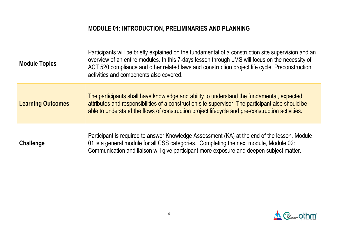## **MODULE 01: INTRODUCTION, PRELIMINARIES AND PLANNING**

| <b>Module Topics</b>     | Participants will be briefly explained on the fundamental of a construction site supervision and an<br>overview of an entire modules. In this 7-days lesson through LMS will focus on the necessity of<br>ACT 520 compliance and other related laws and construction project life cycle. Preconstruction<br>activities and components also covered. |
|--------------------------|-----------------------------------------------------------------------------------------------------------------------------------------------------------------------------------------------------------------------------------------------------------------------------------------------------------------------------------------------------|
| <b>Learning Outcomes</b> | The participants shall have knowledge and ability to understand the fundamental, expected<br>attributes and responsibilities of a construction site supervisor. The participant also should be<br>able to understand the flows of construction project lifecycle and pre-construction activities.                                                   |
| Challenge                | Participant is required to answer Knowledge Assessment (KA) at the end of the lesson. Module<br>01 is a general module for all CSS categories. Completing the next module, Module 02:<br>Communication and liaison will give participant more exposure and deepen subject matter.                                                                   |

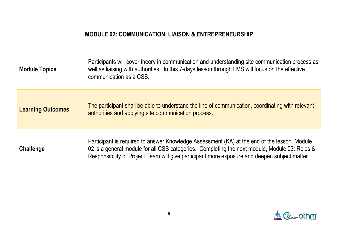## **MODULE 02: COMMUNICATION, LIAISON & ENTREPRENEURSHIP**

| Challenge                | Participant is required to answer Knowledge Assessment (KA) at the end of the lesson. Module<br>02 is a general module for all CSS categories. Completing the next module, Module 03: Roles &<br>Responsibility of Project Team will give participant more exposure and deepen subject matter. |
|--------------------------|------------------------------------------------------------------------------------------------------------------------------------------------------------------------------------------------------------------------------------------------------------------------------------------------|
| <b>Learning Outcomes</b> | The participant shall be able to understand the line of communication, coordinating with relevant<br>authorities and applying site communication process.                                                                                                                                      |
| <b>Module Topics</b>     | Participants will cover theory in communication and understanding site communication process as<br>well as liaising with authorities. In this 7-days lesson through LMS will focus on the effective<br>communication as a CSS.                                                                 |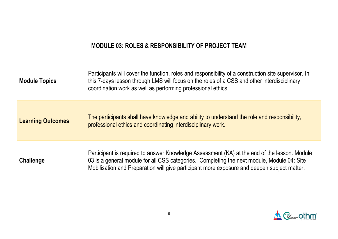#### **MODULE 03: ROLES & RESPONSIBILITY OF PROJECT TEAM**

| <b>Module Topics</b>     | Participants will cover the function, roles and responsibility of a construction site supervisor. In<br>this 7-days lesson through LMS will focus on the roles of a CSS and other interdisciplinary<br>coordination work as well as performing professional ethics.                       |
|--------------------------|-------------------------------------------------------------------------------------------------------------------------------------------------------------------------------------------------------------------------------------------------------------------------------------------|
| <b>Learning Outcomes</b> | The participants shall have knowledge and ability to understand the role and responsibility,<br>professional ethics and coordinating interdisciplinary work.                                                                                                                              |
| <b>Challenge</b>         | Participant is required to answer Knowledge Assessment (KA) at the end of the lesson. Module<br>03 is a general module for all CSS categories. Completing the next module, Module 04: Site<br>Mobilisation and Preparation will give participant more exposure and deepen subject matter. |

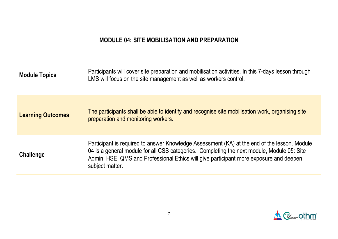#### **MODULE 04: SITE MOBILISATION AND PREPARATION**

| <b>Module Topics</b>     | Participants will cover site preparation and mobilisation activities. In this 7-days lesson through<br>LMS will focus on the site management as well as workers control.                                                                                                                                |
|--------------------------|---------------------------------------------------------------------------------------------------------------------------------------------------------------------------------------------------------------------------------------------------------------------------------------------------------|
| <b>Learning Outcomes</b> | The participants shall be able to identify and recognise site mobilisation work, organising site<br>preparation and monitoring workers.                                                                                                                                                                 |
| <b>Challenge</b>         | Participant is required to answer Knowledge Assessment (KA) at the end of the lesson. Module<br>04 is a general module for all CSS categories. Completing the next module, Module 05: Site<br>Admin, HSE, QMS and Professional Ethics will give participant more exposure and deepen<br>subject matter. |

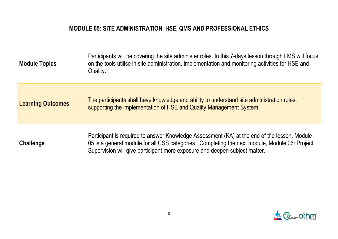## **MODULE 05: SITE ADMINISTRATION, HSE, QMS AND PROFESSIONAL ETHICS**

| <b>Module Topics</b>     | Participants will be covering the site administer roles. In this 7-days lesson through LMS will focus<br>on the tools utilise in site administration, implementation and monitoring activities for HSE and<br>Quality.                                                      |
|--------------------------|-----------------------------------------------------------------------------------------------------------------------------------------------------------------------------------------------------------------------------------------------------------------------------|
| <b>Learning Outcomes</b> | The participants shall have knowledge and ability to understand site administration roles,<br>supporting the implementation of HSE and Quality Management System.                                                                                                           |
| <b>Challenge</b>         | Participant is required to answer Knowledge Assessment (KA) at the end of the lesson. Module<br>05 is a general module for all CSS categories. Completing the next module, Module 06: Project<br>Supervision will give participant more exposure and deepen subject matter. |

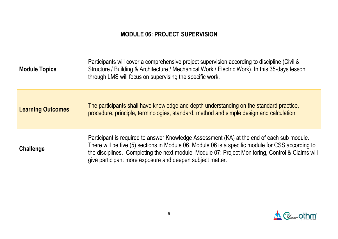#### **MODULE 06: PROJECT SUPERVISION**

| <b>Module Topics</b>     | Participants will cover a comprehensive project supervision according to discipline (Civil &<br>Structure / Building & Architecture / Mechanical Work / Electric Work). In this 35-days lesson<br>through LMS will focus on supervising the specific work.                                                                                                        |
|--------------------------|-------------------------------------------------------------------------------------------------------------------------------------------------------------------------------------------------------------------------------------------------------------------------------------------------------------------------------------------------------------------|
| <b>Learning Outcomes</b> | The participants shall have knowledge and depth understanding on the standard practice,<br>procedure, principle, terminologies, standard, method and simple design and calculation.                                                                                                                                                                               |
| <b>Challenge</b>         | Participant is required to answer Knowledge Assessment (KA) at the end of each sub module.<br>There will be five (5) sections in Module 06. Module 06 is a specific module for CSS according to<br>the disciplines. Completing the next module, Module 07: Project Monitoring, Control & Claims will<br>give participant more exposure and deepen subject matter. |

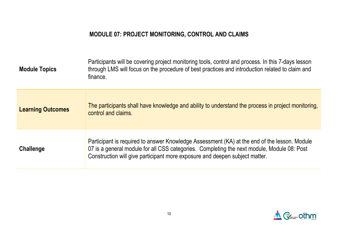## **MODULE 07: PROJECT MONITORING, CONTROL AND CLAIMS**

| <b>Module Topics</b>     | Participants will be covering project monitoring tools, control and process. In this 7-days lesson<br>through LMS will focus on the procedure of best practices and introduction related to claim and<br>finance.                                                         |
|--------------------------|---------------------------------------------------------------------------------------------------------------------------------------------------------------------------------------------------------------------------------------------------------------------------|
| <b>Learning Outcomes</b> | The participants shall have knowledge and ability to understand the process in project monitoring,<br>control and claims.                                                                                                                                                 |
| Challenge                | Participant is required to answer Knowledge Assessment (KA) at the end of the lesson. Module<br>07 is a general module for all CSS categories. Completing the next module, Module 08: Post<br>Construction will give participant more exposure and deepen subject matter. |

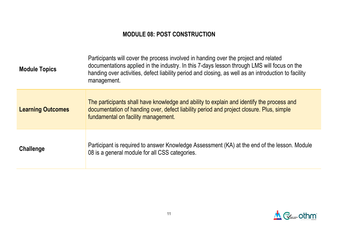#### **MODULE 08: POST CONSTRUCTION**

| <b>Module Topics</b>     | Participants will cover the process involved in handing over the project and related<br>documentations applied in the industry. In this 7-days lesson through LMS will focus on the<br>handing over activities, defect liability period and closing, as well as an introduction to facility<br>management. |
|--------------------------|------------------------------------------------------------------------------------------------------------------------------------------------------------------------------------------------------------------------------------------------------------------------------------------------------------|
| <b>Learning Outcomes</b> | The participants shall have knowledge and ability to explain and identify the process and<br>documentation of handing over, defect liability period and project closure. Plus, simple<br>fundamental on facility management.                                                                               |
| Challenge                | Participant is required to answer Knowledge Assessment (KA) at the end of the lesson. Module<br>08 is a general module for all CSS categories.                                                                                                                                                             |